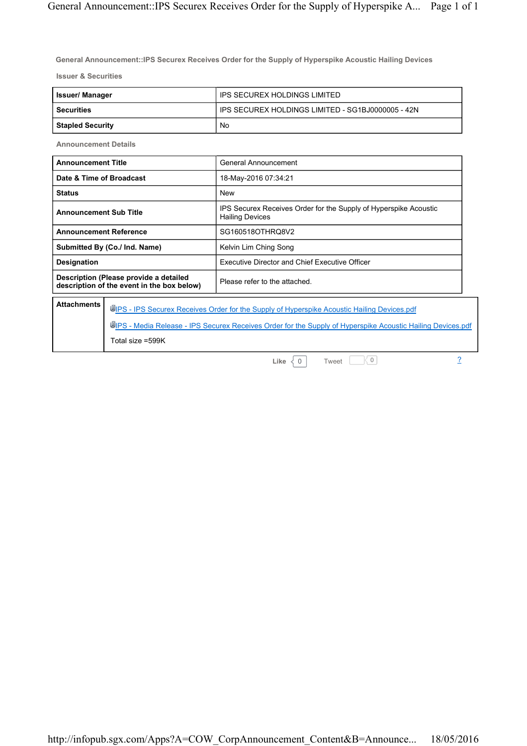**General Announcement::IPS Securex Receives Order for the Supply of Hyperspike Acoustic Hailing Devices**

**Issuer & Securities**

| <b>Issuer/ Manager</b>  | IPS SECUREX HOLDINGS LIMITED                      |
|-------------------------|---------------------------------------------------|
| <b>Securities</b>       | IPS SECUREX HOLDINGS LIMITED - SG1BJ0000005 - 42N |
| <b>Stapled Security</b> | No                                                |

**Announcement Details**

| <b>Announcement Title</b>                                                            | General Announcement                                                                       |
|--------------------------------------------------------------------------------------|--------------------------------------------------------------------------------------------|
| Date & Time of Broadcast                                                             | 18-May-2016 07:34:21                                                                       |
| <b>Status</b>                                                                        | <b>New</b>                                                                                 |
| <b>Announcement Sub Title</b>                                                        | IPS Securex Receives Order for the Supply of Hyperspike Acoustic<br><b>Hailing Devices</b> |
| <b>Announcement Reference</b>                                                        | SG160518OTHRQ8V2                                                                           |
| Submitted By (Co./ Ind. Name)                                                        | Kelvin Lim Ching Song                                                                      |
| <b>Designation</b>                                                                   | Executive Director and Chief Executive Officer                                             |
| Description (Please provide a detailed<br>description of the event in the box below) | Please refer to the attached.                                                              |
| <b>Attachments</b>                                                                   | UPS - IPS Securex Receives Order for the Supply of Hyperspike Acoustic Hailing Devices.pdf |

**IDIPS - Media Release - IPS Securex Receives Order for the Supply of Hyperspike Acoustic Hailing Devices.pdf** Total size =599K

**Like**  $\begin{array}{|c|c|c|c|}\n\hline\n\text{Like} & 0 & \text{Two} & \text{Two} \\
\hline\n\end{array}$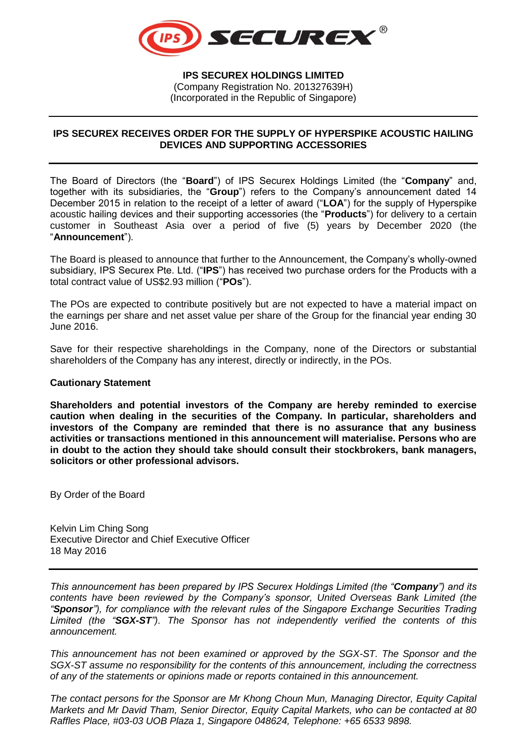

**IPS SECUREX HOLDINGS LIMITED** (Company Registration No. 201327639H) (Incorporated in the Republic of Singapore)

## **IPS SECUREX RECEIVES ORDER FOR THE SUPPLY OF HYPERSPIKE ACOUSTIC HAILING DEVICES AND SUPPORTING ACCESSORIES**

The Board of Directors (the "**Board**") of IPS Securex Holdings Limited (the "**Company**" and, together with its subsidiaries, the "**Group**") refers to the Company's announcement dated 14 December 2015 in relation to the receipt of a letter of award ("**LOA**") for the supply of Hyperspike acoustic hailing devices and their supporting accessories (the "**Products**") for delivery to a certain customer in Southeast Asia over a period of five (5) years by December 2020 (the "**Announcement**").

The Board is pleased to announce that further to the Announcement, the Company's wholly-owned subsidiary, IPS Securex Pte. Ltd. ("**IPS**") has received two purchase orders for the Products with a total contract value of US\$2.93 million ("**POs**").

The POs are expected to contribute positively but are not expected to have a material impact on the earnings per share and net asset value per share of the Group for the financial year ending 30 June 2016.

Save for their respective shareholdings in the Company, none of the Directors or substantial shareholders of the Company has any interest, directly or indirectly, in the POs.

## **Cautionary Statement**

**Shareholders and potential investors of the Company are hereby reminded to exercise caution when dealing in the securities of the Company. In particular, shareholders and investors of the Company are reminded that there is no assurance that any business activities or transactions mentioned in this announcement will materialise. Persons who are in doubt to the action they should take should consult their stockbrokers, bank managers, solicitors or other professional advisors.**

By Order of the Board

Kelvin Lim Ching Song Executive Director and Chief Executive Officer 18 May 2016

*This announcement has been prepared by IPS Securex Holdings Limited (the "Company") and its contents have been reviewed by the Company's sponsor, United Overseas Bank Limited (the "Sponsor"), for compliance with the relevant rules of the Singapore Exchange Securities Trading Limited (the "SGX-ST"). The Sponsor has not independently verified the contents of this announcement.*

*This announcement has not been examined or approved by the SGX-ST. The Sponsor and the SGX-ST assume no responsibility for the contents of this announcement, including the correctness of any of the statements or opinions made or reports contained in this announcement.*

*The contact persons for the Sponsor are Mr Khong Choun Mun, Managing Director, Equity Capital Markets and Mr David Tham, Senior Director, Equity Capital Markets, who can be contacted at 80 Raffles Place, #03-03 UOB Plaza 1, Singapore 048624, Telephone: +65 6533 9898.*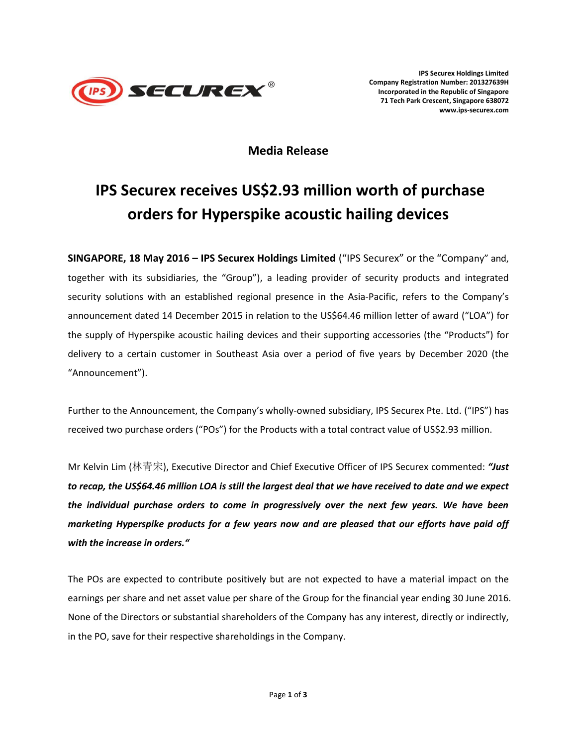

**IPS Securex Holdings Limited Company Registration Number: 201327639H Incorporated in the Republic of Singapore 71 Tech Park Crescent, Singapore 638072 www.ips-securex.com**

**Media Release**

## **IPS Securex receives US\$2.93 million worth of purchase orders for Hyperspike acoustic hailing devices**

**SINGAPORE, 18 May 2016 – IPS Securex Holdings Limited** ("IPS Securex" or the "Company" and, together with its subsidiaries, the "Group"), a leading provider of security products and integrated security solutions with an established regional presence in the Asia-Pacific, refers to the Company's announcement dated 14 December 2015 in relation to the US\$64.46 million letter of award ("LOA") for the supply of Hyperspike acoustic hailing devices and their supporting accessories (the "Products") for delivery to a certain customer in Southeast Asia over a period of five years by December 2020 (the "Announcement").

Further to the Announcement, the Company's wholly-owned subsidiary, IPS Securex Pte. Ltd. ("IPS") has received two purchase orders ("POs") for the Products with a total contract value of US\$2.93 million.

Mr Kelvin Lim (林青宋), Executive Director and Chief Executive Officer of IPS Securex commented: *"Just to recap, the US\$64.46 million LOA is still the largest deal that we have received to date and we expect the individual purchase orders to come in progressively over the next few years. We have been marketing Hyperspike products for a few years now and are pleased that our efforts have paid off with the increase in orders."*

The POs are expected to contribute positively but are not expected to have a material impact on the earnings per share and net asset value per share of the Group for the financial year ending 30 June 2016. None of the Directors or substantial shareholders of the Company has any interest, directly or indirectly, in the PO, save for their respective shareholdings in the Company.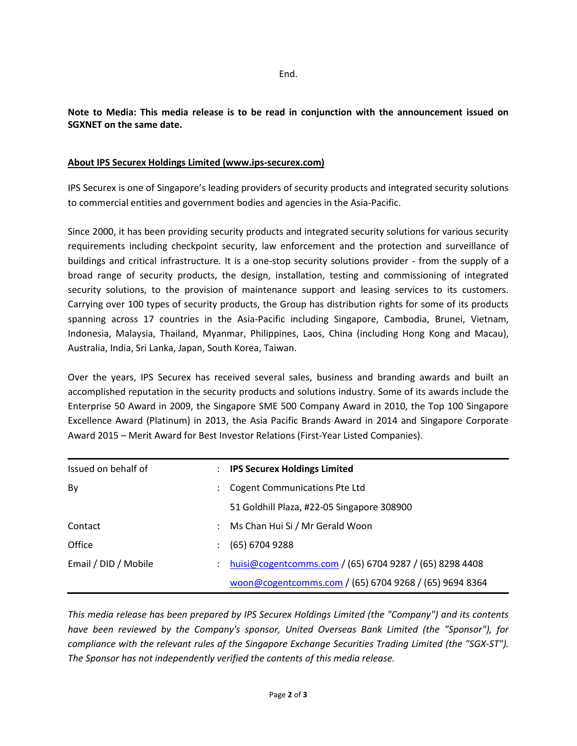**Note to Media: This media release is to be read in conjunction with the announcement issued on SGXNET on the same date.**

## **About IPS Securex Holdings Limited (www.ips-securex.com)**

IPS Securex is one of Singapore's leading providers of security products and integrated security solutions to commercial entities and government bodies and agencies in the Asia-Pacific.

Since 2000, it has been providing security products and integrated security solutions for various security requirements including checkpoint security, law enforcement and the protection and surveillance of buildings and critical infrastructure. It is a one-stop security solutions provider - from the supply of a broad range of security products, the design, installation, testing and commissioning of integrated security solutions, to the provision of maintenance support and leasing services to its customers. Carrying over 100 types of security products, the Group has distribution rights for some of its products spanning across 17 countries in the Asia-Pacific including Singapore, Cambodia, Brunei, Vietnam, Indonesia, Malaysia, Thailand, Myanmar, Philippines, Laos, China (including Hong Kong and Macau), Australia, India, Sri Lanka, Japan, South Korea, Taiwan.

Over the years, IPS Securex has received several sales, business and branding awards and built an accomplished reputation in the security products and solutions industry. Some of its awards include the Enterprise 50 Award in 2009, the Singapore SME 500 Company Award in 2010, the Top 100 Singapore Excellence Award (Platinum) in 2013, the Asia Pacific Brands Award in 2014 and Singapore Corporate Award 2015 – Merit Award for Best Investor Relations (First-Year Listed Companies).

| <b>IPS Securex Holdings Limited</b>                     |
|---------------------------------------------------------|
| <b>Cogent Communications Pte Ltd</b>                    |
| 51 Goldhill Plaza, #22-05 Singapore 308900              |
| Ms Chan Hui Si / Mr Gerald Woon                         |
| (65) 6704 9288                                          |
| huisi@cogentcomms.com / (65) 6704 9287 / (65) 8298 4408 |
| woon@cogentcomms.com / (65) 6704 9268 / (65) 9694 8364  |
|                                                         |

*This media release has been prepared by IPS Securex Holdings Limited (the "Company") and its contents have been reviewed by the Company's sponsor, United Overseas Bank Limited (the "Sponsor"), for compliance with the relevant rules of the Singapore Exchange Securities Trading Limited (the "SGX-ST"). The Sponsor has not independently verified the contents of this media release.*